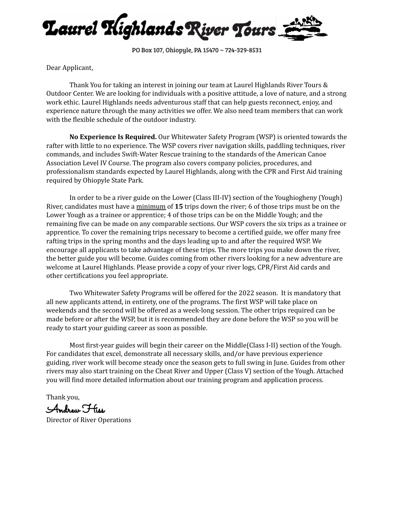

PO Box 107, Ohiopyle, PA 15470 ~ 724-329-8531

Dear Applicant,

Thank You for taking an interest in joining our team at Laurel Highlands River Tours & Outdoor Center. We are looking for individuals with a positive attitude, a love of nature, and a strong work ethic. Laurel Highlands needs adventurous staff that can help guests reconnect, enjoy, and experience nature through the many activities we offer. We also need team members that can work with the flexible schedule of the outdoor industry.

**No Experience Is Required.** Our Whitewater Safety Program (WSP) is oriented towards the rafter with little to no experience. The WSP covers river navigation skills, paddling techniques, river commands, and includes Swift-Water Rescue training to the standards of the American Canoe Association Level IV Course. The program also covers company policies, procedures, and professionalism standards expected by Laurel Highlands, along with the CPR and First Aid training required by Ohiopyle State Park.

In order to be a river guide on the Lower (Class III-IV) section of the Youghiogheny (Yough) River, candidates must have a minimum of **15** trips down the river; 6 of those trips must be on the Lower Yough as a trainee or apprentice; 4 of those trips can be on the Middle Yough; and the remaining five can be made on any comparable sections. Our WSP covers the six trips as a trainee or apprentice. To cover the remaining trips necessary to become a certified guide, we offer many free rafting trips in the spring months and the days leading up to and after the required WSP. We encourage all applicants to take advantage of these trips. The more trips you make down the river, the better guide you will become. Guides coming from other rivers looking for a new adventure are welcome at Laurel Highlands. Please provide a copy of your river logs, CPR/First Aid cards and other certifications you feel appropriate.

Two Whitewater Safety Programs will be offered for the 2022 season. It is mandatory that all new applicants attend, in entirety, one of the programs. The first WSP will take place on weekends and the second will be offered as a week-long session. The other trips required can be made before or after the WSP, but it is recommended they are done before the WSP so you will be ready to start your guiding career as soon as possible.

Most first-year guides will begin their career on the Middle(Class I-II) section of the Yough. For candidates that excel, demonstrate all necessary skills, and/or have previous experience guiding, river work will become steady once the season gets to full swing in June. Guides from other rivers may also start training on the Cheat River and Upper (Class V) section of the Yough. Attached you will find more detailed information about our training program and application process.

Thank you,

Andrew Hiss

Director of River Operations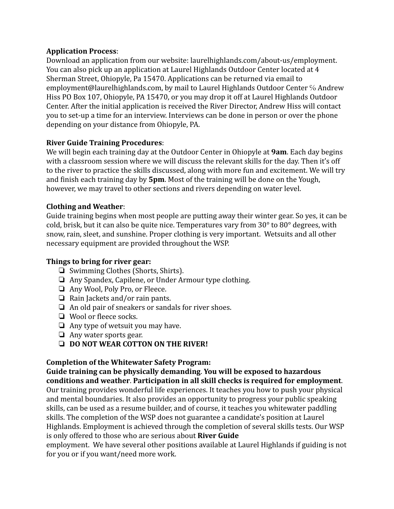## **Application Process**:

Download an application from our website: laurelhighlands.com/about-us/employment. You can also pick up an application at Laurel Highlands Outdoor Center located at 4 Sherman Street, Ohiopyle, Pa 15470. Applications can be returned via email to employment@laurelhighlands.com, by mail to Laurel Highlands Outdoor Center % Andrew Hiss PO Box 107, Ohiopyle, PA 15470, or you may drop it off at Laurel Highlands Outdoor Center. After the initial application is received the River Director, Andrew Hiss will contact you to set-up a time for an interview. Interviews can be done in person or over the phone depending on your distance from Ohiopyle, PA.

# **River Guide Training Procedures**:

We will begin each training day at the Outdoor Center in Ohiopyle at **9am**. Each day begins with a classroom session where we will discuss the relevant skills for the day. Then it's off to the river to practice the skills discussed, along with more fun and excitement. We will try and finish each training day by **5pm**. Most of the training will be done on the Yough, however, we may travel to other sections and rivers depending on water level.

# **Clothing and Weather**:

Guide training begins when most people are putting away their winter gear. So yes, it can be cold, brisk, but it can also be quite nice. Temperatures vary from 30° to 80° degrees, with snow, rain, sleet, and sunshine. Proper clothing is very important. Wetsuits and all other necessary equipment are provided throughout the WSP.

# **Things to bring for river gear:**

- ❏ Swimming Clothes (Shorts, Shirts).
- ❏ Any Spandex, Capilene, or Under Armour type clothing.
- ❏ Any Wool, Poly Pro, or Fleece.
- ❏ Rain Jackets and/or rain pants.
- ❏ An old pair of sneakers or sandals for river shoes.
- ❏ Wool or fleece socks.
- ❏ Any type of wetsuit you may have.
- ❏ Any water sports gear.
- ❏ **DO NOT WEAR COTTON ON THE RIVER!**

### **Completion of the Whitewater Safety Program:**

**Guide training can be physically demanding**. **You will be exposed to hazardous conditions and weather**. **Participation in all skill checks is required for employment**. Our training provides wonderful life experiences. It teaches you how to push your physical and mental boundaries. It also provides an opportunity to progress your public speaking skills, can be used as a resume builder, and of course, it teaches you whitewater paddling skills. The completion of the WSP does not guarantee a candidate's position at Laurel Highlands. Employment is achieved through the completion of several skills tests. Our WSP is only offered to those who are serious about **River Guide**

employment. We have several other positions available at Laurel Highlands if guiding is not for you or if you want/need more work.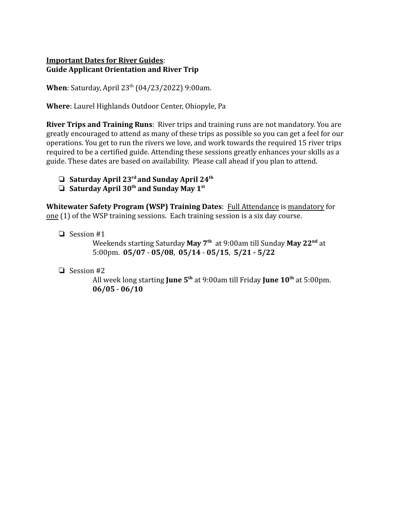### **Important Dates for River Guides**: **Guide Applicant Orientation and River Trip**

**When**: Saturday, April 23<sup>th</sup> (04/23/2022) 9:00am.

**Where**: Laurel Highlands Outdoor Center, Ohiopyle, Pa

**River Trips and Training Runs**: River trips and training runs are not mandatory. You are greatly encouraged to attend as many of these trips as possible so you can get a feel for our operations. You get to run the rivers we love, and work towards the required 15 river trips required to be a certified guide. Attending these sessions greatly enhances your skills as a guide. These dates are based on availability. Please call ahead if you plan to attend.

- ❏ **Saturday April 23rd and Sunday April 24th**
- ❏ **Saturday April 30th and Sunday May 1st**

**Whitewater Safety Program (WSP) Training Dates**: Full Attendance is mandatory for one (1) of the WSP training sessions. Each training session is a six day course.

❏ Session #1

Weekends starting Saturday **May 7th** at 9:00am till Sunday **May 22nd** at 5:00pm. **05/07** - **05/08**, **05/14** - **05/15**, **5/21 - 5/22**

❏ Session #2

All week long starting **June 5th** at 9:00am till Friday **June 10th** at 5:00pm. **06/05** - **06/10**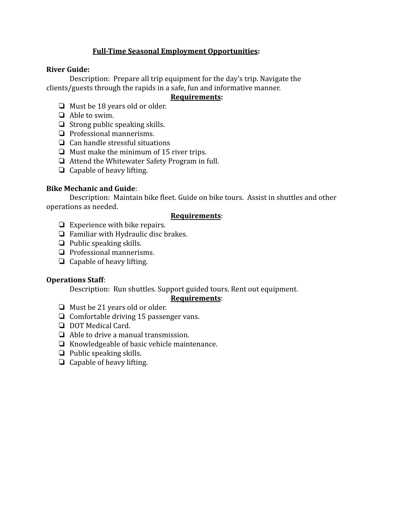## **Full-Time Seasonal Employment Opportunities:**

#### **River Guide:**

Description: Prepare all trip equipment for the day's trip. Navigate the clients/guests through the rapids in a safe, fun and informative manner.

#### **Requirements:**

- ❏ Must be 18 years old or older.
- ❏ Able to swim.
- ❏ Strong public speaking skills.
- ❏ Professional mannerisms.
- ❏ Can handle stressful situations
- ❏ Must make the minimum of 15 river trips.
- ❏ Attend the Whitewater Safety Program in full.
- ❏ Capable of heavy lifting.

## **Bike Mechanic and Guide**:

Description: Maintain bike fleet. Guide on bike tours. Assist in shuttles and other operations as needed.

### **Requirements**:

- ❏ Experience with bike repairs.
- ❏ Familiar with Hydraulic disc brakes.
- ❏ Public speaking skills.
- ❏ Professional mannerisms.
- ❏ Capable of heavy lifting.

### **Operations Staff**:

Description: Run shuttles. Support guided tours. Rent out equipment.

### **Requirements**:

- ❏ Must be 21 years old or older.
- ❏ Comfortable driving 15 passenger vans.
- ❏ DOT Medical Card.
- ❏ Able to drive a manual transmission.
- ❏ Knowledgeable of basic vehicle maintenance.
- ❏ Public speaking skills.
- ❏ Capable of heavy lifting.